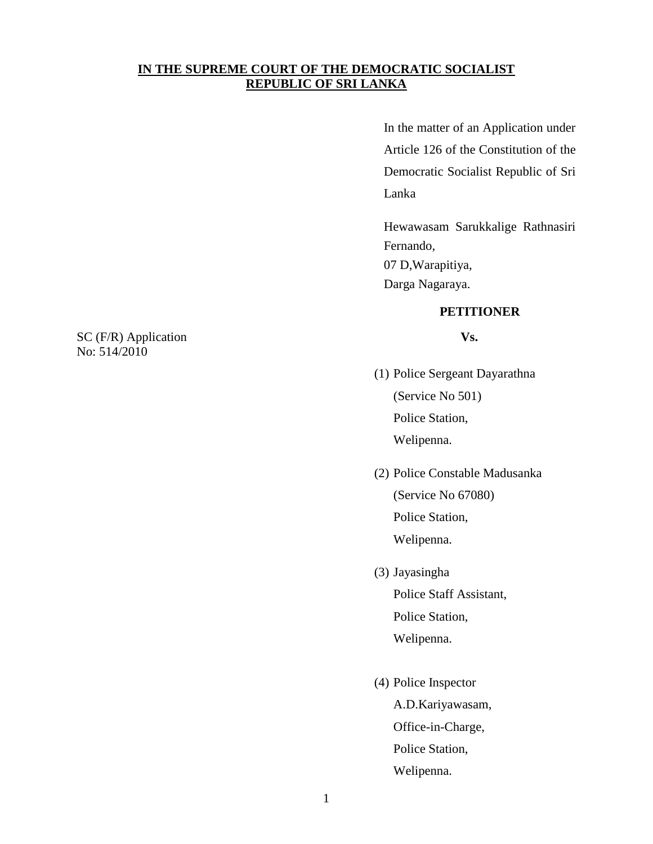# **IN THE SUPREME COURT OF THE DEMOCRATIC SOCIALIST REPUBLIC OF SRI LANKA**

In the matter of an Application under Article 126 of the Constitution of the Democratic Socialist Republic of Sri Lanka

Hewawasam Sarukkalige Rathnasiri Fernando, 07 D,Warapitiya, Darga Nagaraya.

# **PETITIONER**

- (1) Police Sergeant Dayarathna (Service No 501) Police Station, Welipenna.
- (2) Police Constable Madusanka (Service No 67080) Police Station, Welipenna.
- (3) Jayasingha

Police Staff Assistant, Police Station, Welipenna.

(4) Police Inspector A.D.Kariyawasam, Office-in-Charge, Police Station, Welipenna.

SC (F/R) Application **Vs.** No: 514/2010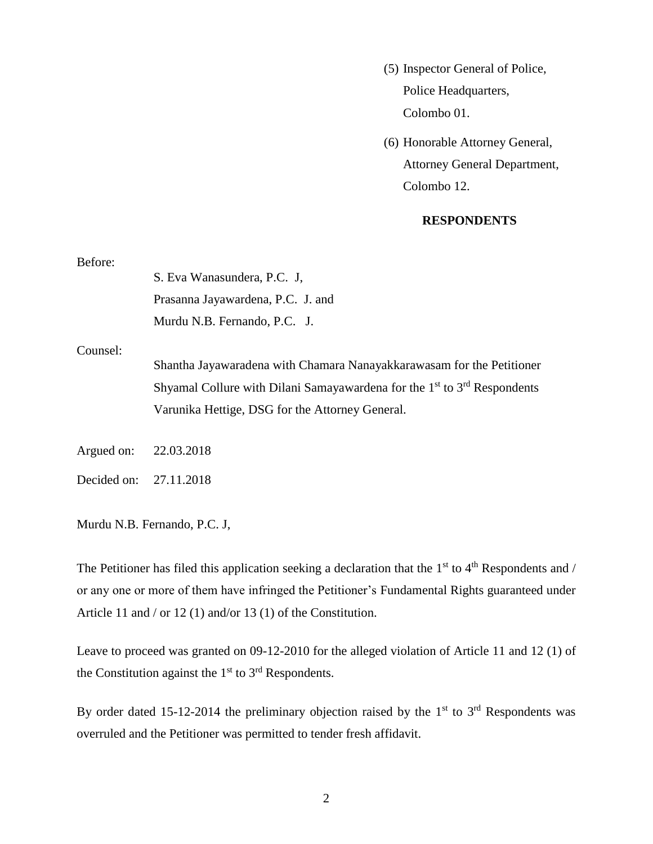- (5) Inspector General of Police, Police Headquarters, Colombo 01.
- (6) Honorable Attorney General, Attorney General Department, Colombo 12.

#### **RESPONDENTS**

| Before:    |                                                                              |
|------------|------------------------------------------------------------------------------|
|            | S. Eva Wanasundera, P.C. J.                                                  |
|            | Prasanna Jayawardena, P.C. J. and                                            |
|            | Murdu N.B. Fernando, P.C. J.                                                 |
| Counsel:   |                                                                              |
|            | Shantha Jayawaradena with Chamara Nanayakkarawasam for the Petitioner        |
|            | Shyamal Collure with Dilani Samayawardena for the $1st$ to $3rd$ Respondents |
|            | Varunika Hettige, DSG for the Attorney General.                              |
|            |                                                                              |
| Argued on: | 22.03.2018                                                                   |
|            |                                                                              |

Decided on: 27.11.2018

Murdu N.B. Fernando, P.C. J,

The Petitioner has filed this application seeking a declaration that the  $1<sup>st</sup>$  to  $4<sup>th</sup>$  Respondents and / or any one or more of them have infringed the Petitioner's Fundamental Rights guaranteed under Article 11 and / or 12 (1) and/or 13 (1) of the Constitution.

Leave to proceed was granted on 09-12-2010 for the alleged violation of Article 11 and 12 (1) of the Constitution against the  $1<sup>st</sup>$  to  $3<sup>rd</sup>$  Respondents.

By order dated 15-12-2014 the preliminary objection raised by the  $1<sup>st</sup>$  to  $3<sup>rd</sup>$  Respondents was overruled and the Petitioner was permitted to tender fresh affidavit.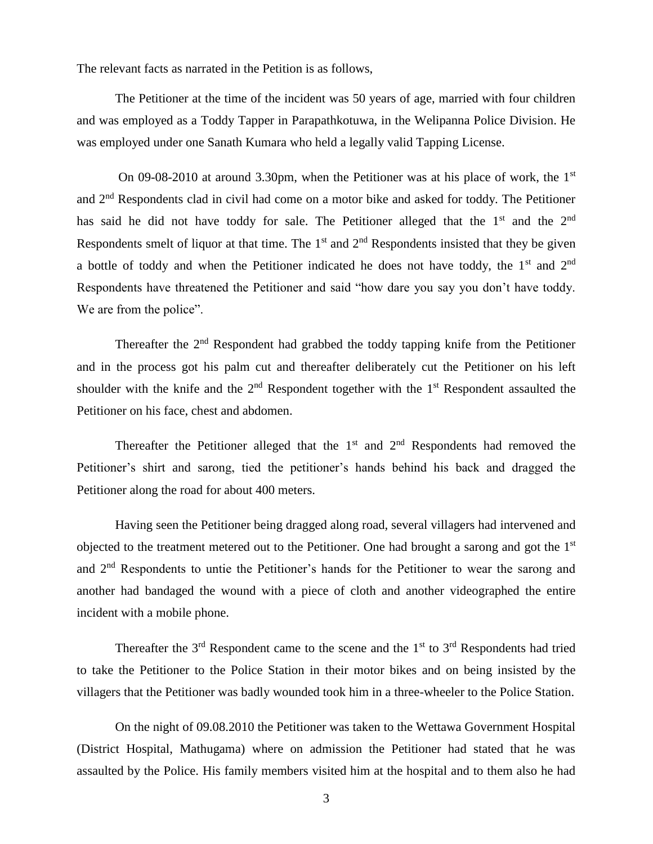The relevant facts as narrated in the Petition is as follows,

The Petitioner at the time of the incident was 50 years of age, married with four children and was employed as a Toddy Tapper in Parapathkotuwa, in the Welipanna Police Division. He was employed under one Sanath Kumara who held a legally valid Tapping License.

On 09-08-2010 at around 3.30pm, when the Petitioner was at his place of work, the 1<sup>st</sup> and 2nd Respondents clad in civil had come on a motor bike and asked for toddy. The Petitioner has said he did not have toddy for sale. The Petitioner alleged that the  $1<sup>st</sup>$  and the  $2<sup>nd</sup>$ Respondents smelt of liquor at that time. The  $1<sup>st</sup>$  and  $2<sup>nd</sup>$  Respondents insisted that they be given a bottle of toddy and when the Petitioner indicated he does not have toddy, the 1<sup>st</sup> and 2<sup>nd</sup> Respondents have threatened the Petitioner and said "how dare you say you don't have toddy. We are from the police".

Thereafter the  $2<sup>nd</sup>$  Respondent had grabbed the toddy tapping knife from the Petitioner and in the process got his palm cut and thereafter deliberately cut the Petitioner on his left shoulder with the knife and the  $2<sup>nd</sup>$  Respondent together with the  $1<sup>st</sup>$  Respondent assaulted the Petitioner on his face, chest and abdomen.

Thereafter the Petitioner alleged that the  $1<sup>st</sup>$  and  $2<sup>nd</sup>$  Respondents had removed the Petitioner's shirt and sarong, tied the petitioner's hands behind his back and dragged the Petitioner along the road for about 400 meters.

Having seen the Petitioner being dragged along road, several villagers had intervened and objected to the treatment metered out to the Petitioner. One had brought a sarong and got the 1st and 2nd Respondents to untie the Petitioner's hands for the Petitioner to wear the sarong and another had bandaged the wound with a piece of cloth and another videographed the entire incident with a mobile phone.

Thereafter the  $3<sup>rd</sup>$  Respondent came to the scene and the  $1<sup>st</sup>$  to  $3<sup>rd</sup>$  Respondents had tried to take the Petitioner to the Police Station in their motor bikes and on being insisted by the villagers that the Petitioner was badly wounded took him in a three-wheeler to the Police Station.

On the night of 09.08.2010 the Petitioner was taken to the Wettawa Government Hospital (District Hospital, Mathugama) where on admission the Petitioner had stated that he was assaulted by the Police. His family members visited him at the hospital and to them also he had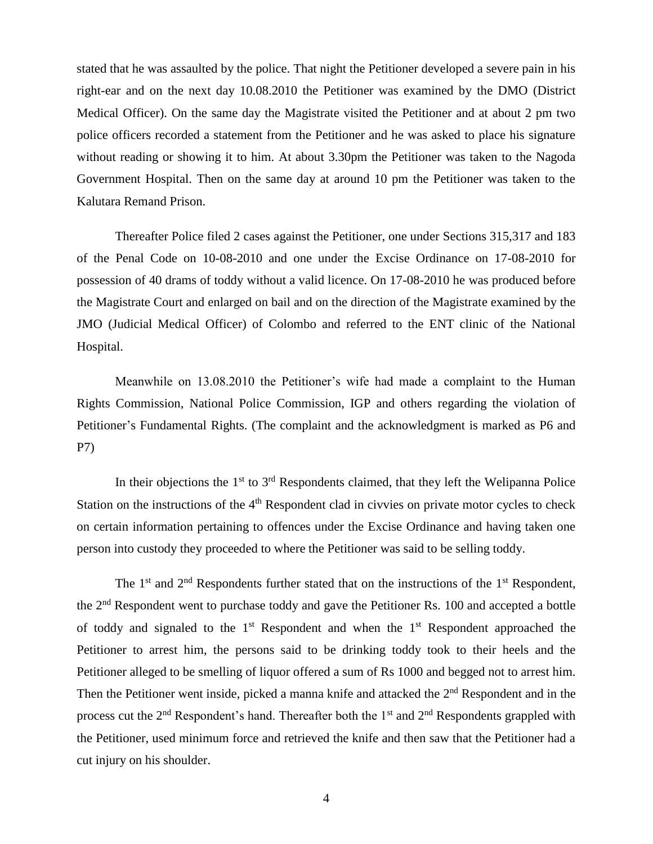stated that he was assaulted by the police. That night the Petitioner developed a severe pain in his right-ear and on the next day 10.08.2010 the Petitioner was examined by the DMO (District Medical Officer). On the same day the Magistrate visited the Petitioner and at about 2 pm two police officers recorded a statement from the Petitioner and he was asked to place his signature without reading or showing it to him. At about 3.30pm the Petitioner was taken to the Nagoda Government Hospital. Then on the same day at around 10 pm the Petitioner was taken to the Kalutara Remand Prison.

Thereafter Police filed 2 cases against the Petitioner, one under Sections 315,317 and 183 of the Penal Code on 10-08-2010 and one under the Excise Ordinance on 17-08-2010 for possession of 40 drams of toddy without a valid licence. On 17-08-2010 he was produced before the Magistrate Court and enlarged on bail and on the direction of the Magistrate examined by the JMO (Judicial Medical Officer) of Colombo and referred to the ENT clinic of the National Hospital.

Meanwhile on 13.08.2010 the Petitioner's wife had made a complaint to the Human Rights Commission, National Police Commission, IGP and others regarding the violation of Petitioner's Fundamental Rights. (The complaint and the acknowledgment is marked as P6 and P7)

In their objections the  $1<sup>st</sup>$  to  $3<sup>rd</sup>$  Respondents claimed, that they left the Welipanna Police Station on the instructions of the 4<sup>th</sup> Respondent clad in civvies on private motor cycles to check on certain information pertaining to offences under the Excise Ordinance and having taken one person into custody they proceeded to where the Petitioner was said to be selling toddy.

The  $1<sup>st</sup>$  and  $2<sup>nd</sup>$  Respondents further stated that on the instructions of the  $1<sup>st</sup>$  Respondent, the 2nd Respondent went to purchase toddy and gave the Petitioner Rs. 100 and accepted a bottle of toddy and signaled to the  $1<sup>st</sup>$  Respondent and when the  $1<sup>st</sup>$  Respondent approached the Petitioner to arrest him, the persons said to be drinking toddy took to their heels and the Petitioner alleged to be smelling of liquor offered a sum of Rs 1000 and begged not to arrest him. Then the Petitioner went inside, picked a manna knife and attacked the  $2<sup>nd</sup>$  Respondent and in the process cut the  $2<sup>nd</sup>$  Respondent's hand. Thereafter both the  $1<sup>st</sup>$  and  $2<sup>nd</sup>$  Respondents grappled with the Petitioner, used minimum force and retrieved the knife and then saw that the Petitioner had a cut injury on his shoulder.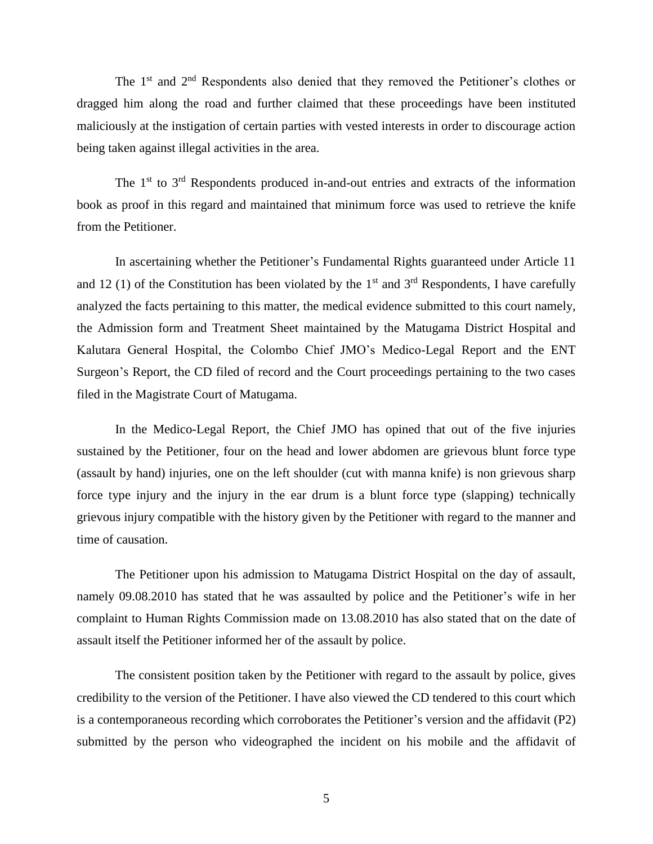The  $1<sup>st</sup>$  and  $2<sup>nd</sup>$  Respondents also denied that they removed the Petitioner's clothes or dragged him along the road and further claimed that these proceedings have been instituted maliciously at the instigation of certain parties with vested interests in order to discourage action being taken against illegal activities in the area.

The  $1<sup>st</sup>$  to  $3<sup>rd</sup>$  Respondents produced in-and-out entries and extracts of the information book as proof in this regard and maintained that minimum force was used to retrieve the knife from the Petitioner.

In ascertaining whether the Petitioner's Fundamental Rights guaranteed under Article 11 and 12 (1) of the Constitution has been violated by the  $1<sup>st</sup>$  and  $3<sup>rd</sup>$  Respondents, I have carefully analyzed the facts pertaining to this matter, the medical evidence submitted to this court namely, the Admission form and Treatment Sheet maintained by the Matugama District Hospital and Kalutara General Hospital, the Colombo Chief JMO's Medico-Legal Report and the ENT Surgeon's Report, the CD filed of record and the Court proceedings pertaining to the two cases filed in the Magistrate Court of Matugama.

In the Medico-Legal Report, the Chief JMO has opined that out of the five injuries sustained by the Petitioner, four on the head and lower abdomen are grievous blunt force type (assault by hand) injuries, one on the left shoulder (cut with manna knife) is non grievous sharp force type injury and the injury in the ear drum is a blunt force type (slapping) technically grievous injury compatible with the history given by the Petitioner with regard to the manner and time of causation.

The Petitioner upon his admission to Matugama District Hospital on the day of assault, namely 09.08.2010 has stated that he was assaulted by police and the Petitioner's wife in her complaint to Human Rights Commission made on 13.08.2010 has also stated that on the date of assault itself the Petitioner informed her of the assault by police.

The consistent position taken by the Petitioner with regard to the assault by police, gives credibility to the version of the Petitioner. I have also viewed the CD tendered to this court which is a contemporaneous recording which corroborates the Petitioner's version and the affidavit (P2) submitted by the person who videographed the incident on his mobile and the affidavit of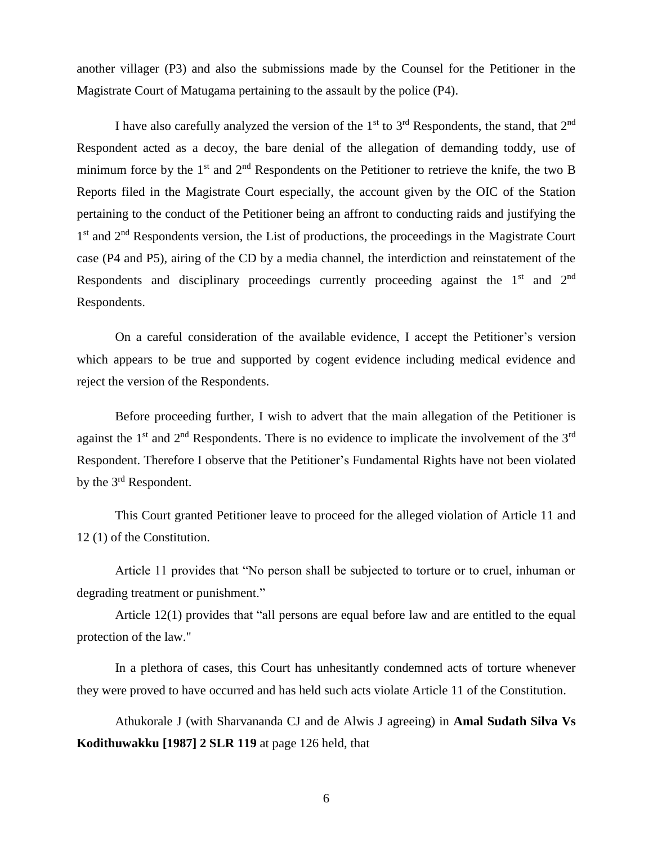another villager (P3) and also the submissions made by the Counsel for the Petitioner in the Magistrate Court of Matugama pertaining to the assault by the police (P4).

I have also carefully analyzed the version of the  $1<sup>st</sup>$  to  $3<sup>rd</sup>$  Respondents, the stand, that  $2<sup>nd</sup>$ Respondent acted as a decoy, the bare denial of the allegation of demanding toddy, use of minimum force by the  $1<sup>st</sup>$  and  $2<sup>nd</sup>$  Respondents on the Petitioner to retrieve the knife, the two B Reports filed in the Magistrate Court especially, the account given by the OIC of the Station pertaining to the conduct of the Petitioner being an affront to conducting raids and justifying the 1<sup>st</sup> and 2<sup>nd</sup> Respondents version, the List of productions, the proceedings in the Magistrate Court case (P4 and P5), airing of the CD by a media channel, the interdiction and reinstatement of the Respondents and disciplinary proceedings currently proceeding against the 1<sup>st</sup> and 2<sup>nd</sup> Respondents.

On a careful consideration of the available evidence, I accept the Petitioner's version which appears to be true and supported by cogent evidence including medical evidence and reject the version of the Respondents.

Before proceeding further, I wish to advert that the main allegation of the Petitioner is against the  $1<sup>st</sup>$  and  $2<sup>nd</sup>$  Respondents. There is no evidence to implicate the involvement of the  $3<sup>rd</sup>$ Respondent. Therefore I observe that the Petitioner's Fundamental Rights have not been violated by the 3rd Respondent.

This Court granted Petitioner leave to proceed for the alleged violation of Article 11 and 12 (1) of the Constitution.

Article 11 provides that "No person shall be subjected to torture or to cruel, inhuman or degrading treatment or punishment."

Article 12(1) provides that "all persons are equal before law and are entitled to the equal protection of the law."

In a plethora of cases, this Court has unhesitantly condemned acts of torture whenever they were proved to have occurred and has held such acts violate Article 11 of the Constitution.

Athukorale J (with Sharvananda CJ and de Alwis J agreeing) in **Amal Sudath Silva Vs Kodithuwakku [1987] 2 SLR 119** at page 126 held, that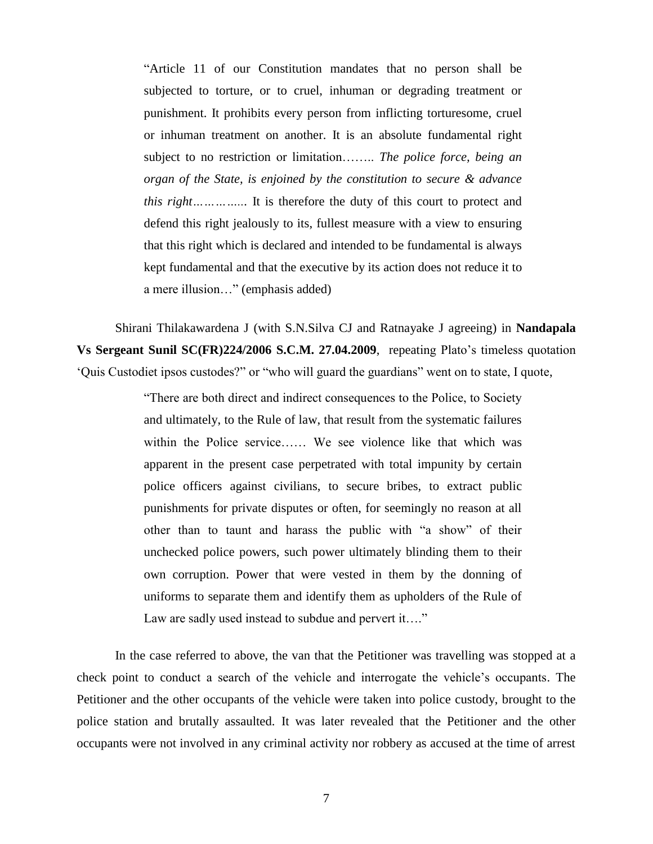"Article 11 of our Constitution mandates that no person shall be subjected to torture, or to cruel, inhuman or degrading treatment or punishment. It prohibits every person from inflicting torturesome, cruel or inhuman treatment on another. It is an absolute fundamental right subject to no restriction or limitation…….. *The police force, being an organ of the State, is enjoined by the constitution to secure & advance this right…………...* It is therefore the duty of this court to protect and defend this right jealously to its, fullest measure with a view to ensuring that this right which is declared and intended to be fundamental is always kept fundamental and that the executive by its action does not reduce it to a mere illusion…" (emphasis added)

Shirani Thilakawardena J (with S.N.Silva CJ and Ratnayake J agreeing) in **Nandapala Vs Sergeant Sunil SC(FR)224/2006 S.C.M. 27.04.2009**, repeating Plato's timeless quotation 'Quis Custodiet ipsos custodes?" or "who will guard the guardians" went on to state, I quote,

> "There are both direct and indirect consequences to the Police, to Society and ultimately, to the Rule of law, that result from the systematic failures within the Police service…… We see violence like that which was apparent in the present case perpetrated with total impunity by certain police officers against civilians, to secure bribes, to extract public punishments for private disputes or often, for seemingly no reason at all other than to taunt and harass the public with "a show" of their unchecked police powers, such power ultimately blinding them to their own corruption. Power that were vested in them by the donning of uniforms to separate them and identify them as upholders of the Rule of Law are sadly used instead to subdue and pervert it…."

In the case referred to above, the van that the Petitioner was travelling was stopped at a check point to conduct a search of the vehicle and interrogate the vehicle's occupants. The Petitioner and the other occupants of the vehicle were taken into police custody, brought to the police station and brutally assaulted. It was later revealed that the Petitioner and the other occupants were not involved in any criminal activity nor robbery as accused at the time of arrest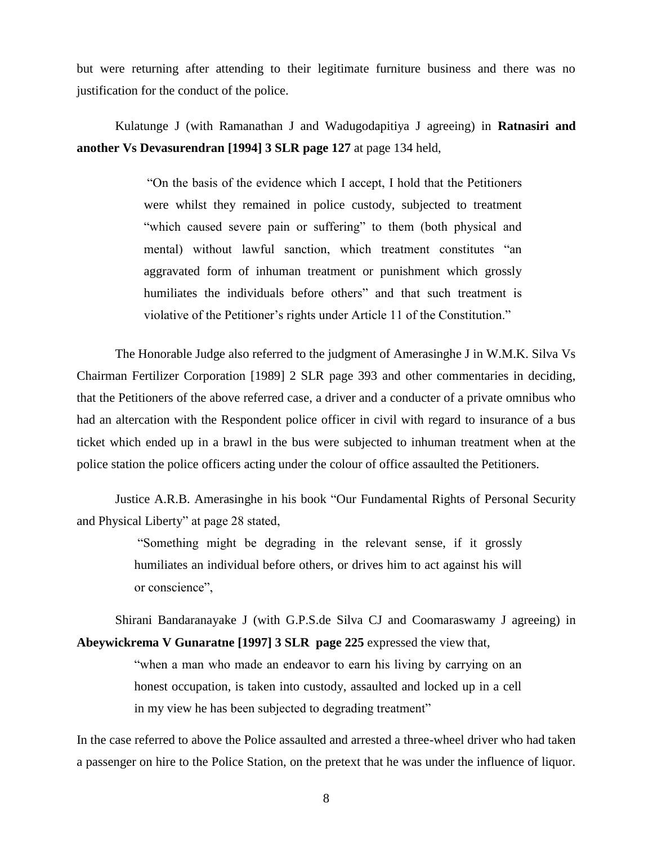but were returning after attending to their legitimate furniture business and there was no justification for the conduct of the police.

Kulatunge J (with Ramanathan J and Wadugodapitiya J agreeing) in **Ratnasiri and another Vs Devasurendran [1994] 3 SLR page 127** at page 134 held,

> "On the basis of the evidence which I accept, I hold that the Petitioners were whilst they remained in police custody, subjected to treatment "which caused severe pain or suffering" to them (both physical and mental) without lawful sanction, which treatment constitutes "an aggravated form of inhuman treatment or punishment which grossly humiliates the individuals before others" and that such treatment is violative of the Petitioner's rights under Article 11 of the Constitution."

The Honorable Judge also referred to the judgment of Amerasinghe J in W.M.K. Silva Vs Chairman Fertilizer Corporation [1989] 2 SLR page 393 and other commentaries in deciding, that the Petitioners of the above referred case, a driver and a conducter of a private omnibus who had an altercation with the Respondent police officer in civil with regard to insurance of a bus ticket which ended up in a brawl in the bus were subjected to inhuman treatment when at the police station the police officers acting under the colour of office assaulted the Petitioners.

Justice A.R.B. Amerasinghe in his book "Our Fundamental Rights of Personal Security and Physical Liberty" at page 28 stated,

> "Something might be degrading in the relevant sense, if it grossly humiliates an individual before others, or drives him to act against his will or conscience",

Shirani Bandaranayake J (with G.P.S.de Silva CJ and Coomaraswamy J agreeing) in **Abeywickrema V Gunaratne [1997] 3 SLR page 225** expressed the view that,

> "when a man who made an endeavor to earn his living by carrying on an honest occupation, is taken into custody, assaulted and locked up in a cell in my view he has been subjected to degrading treatment"

In the case referred to above the Police assaulted and arrested a three-wheel driver who had taken a passenger on hire to the Police Station, on the pretext that he was under the influence of liquor.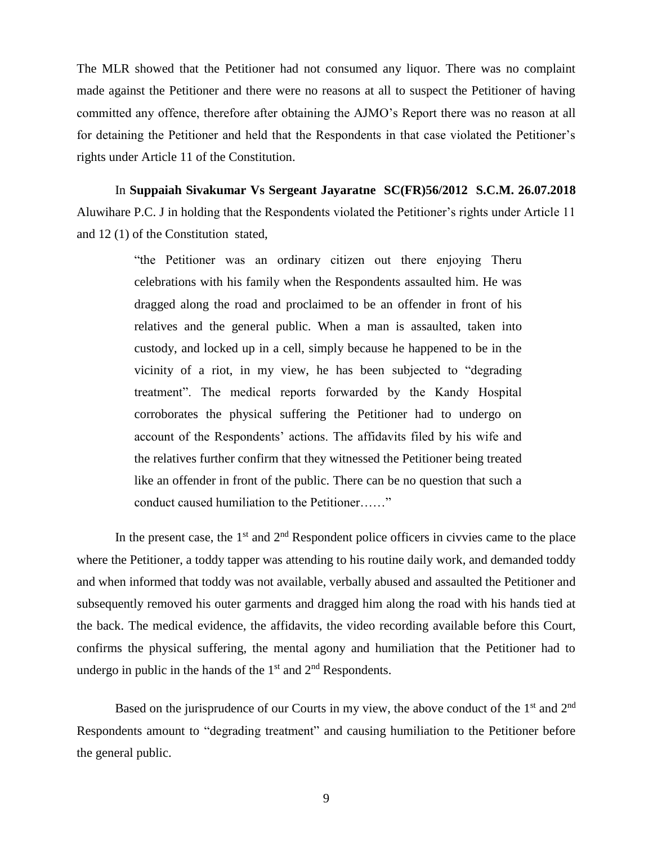The MLR showed that the Petitioner had not consumed any liquor. There was no complaint made against the Petitioner and there were no reasons at all to suspect the Petitioner of having committed any offence, therefore after obtaining the AJMO's Report there was no reason at all for detaining the Petitioner and held that the Respondents in that case violated the Petitioner's rights under Article 11 of the Constitution.

In **Suppaiah Sivakumar Vs Sergeant Jayaratne SC(FR)56/2012 S.C.M. 26.07.2018** Aluwihare P.C. J in holding that the Respondents violated the Petitioner's rights under Article 11 and 12 (1) of the Constitution stated,

> "the Petitioner was an ordinary citizen out there enjoying Theru celebrations with his family when the Respondents assaulted him. He was dragged along the road and proclaimed to be an offender in front of his relatives and the general public. When a man is assaulted, taken into custody, and locked up in a cell, simply because he happened to be in the vicinity of a riot, in my view, he has been subjected to "degrading treatment". The medical reports forwarded by the Kandy Hospital corroborates the physical suffering the Petitioner had to undergo on account of the Respondents' actions. The affidavits filed by his wife and the relatives further confirm that they witnessed the Petitioner being treated like an offender in front of the public. There can be no question that such a conduct caused humiliation to the Petitioner……"

In the present case, the  $1<sup>st</sup>$  and  $2<sup>nd</sup>$  Respondent police officers in civvies came to the place where the Petitioner, a toddy tapper was attending to his routine daily work, and demanded toddy and when informed that toddy was not available, verbally abused and assaulted the Petitioner and subsequently removed his outer garments and dragged him along the road with his hands tied at the back. The medical evidence, the affidavits, the video recording available before this Court, confirms the physical suffering, the mental agony and humiliation that the Petitioner had to undergo in public in the hands of the  $1<sup>st</sup>$  and  $2<sup>nd</sup>$  Respondents.

Based on the jurisprudence of our Courts in my view, the above conduct of the 1<sup>st</sup> and 2<sup>nd</sup> Respondents amount to "degrading treatment" and causing humiliation to the Petitioner before the general public.